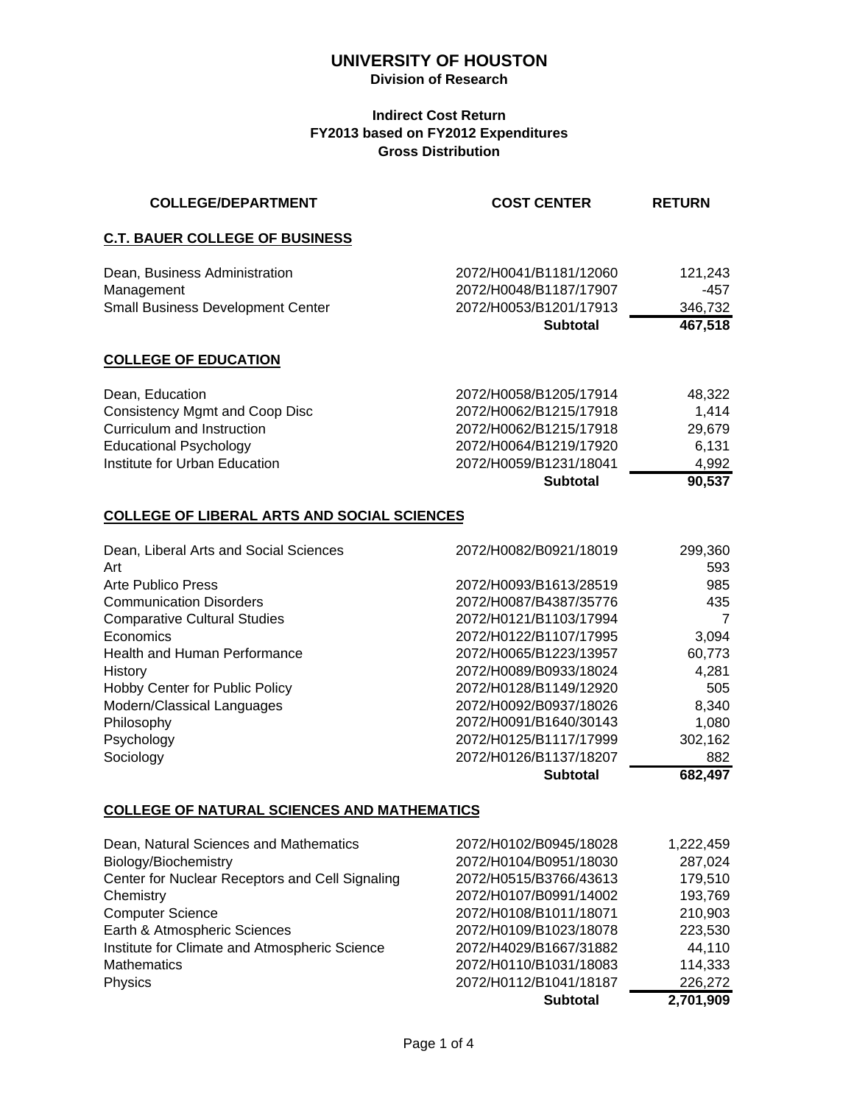#### **Division of Research**

#### **Indirect Cost Return FY2013 based on FY2012 Expenditures Gross Distribution**

| <b>COLLEGE/DEPARTMENT</b>                          | <b>COST CENTER</b>     | <b>RETURN</b>  |
|----------------------------------------------------|------------------------|----------------|
| <b>C.T. BAUER COLLEGE OF BUSINESS</b>              |                        |                |
| Dean, Business Administration                      | 2072/H0041/B1181/12060 | 121,243        |
| Management                                         | 2072/H0048/B1187/17907 | $-457$         |
| Small Business Development Center                  | 2072/H0053/B1201/17913 | 346,732        |
|                                                    | <b>Subtotal</b>        | 467,518        |
| <b>COLLEGE OF EDUCATION</b>                        |                        |                |
| Dean, Education                                    | 2072/H0058/B1205/17914 | 48,322         |
| <b>Consistency Mgmt and Coop Disc</b>              | 2072/H0062/B1215/17918 | 1,414          |
| Curriculum and Instruction                         | 2072/H0062/B1215/17918 | 29,679         |
| <b>Educational Psychology</b>                      | 2072/H0064/B1219/17920 | 6,131          |
| Institute for Urban Education                      | 2072/H0059/B1231/18041 | 4,992          |
|                                                    | <b>Subtotal</b>        | 90,537         |
| <b>COLLEGE OF LIBERAL ARTS AND SOCIAL SCIENCES</b> |                        |                |
| Dean, Liberal Arts and Social Sciences<br>Art      | 2072/H0082/B0921/18019 | 299,360<br>593 |
| <b>Arte Publico Press</b>                          | 2072/H0093/B1613/28519 | 985            |
| <b>Communication Disorders</b>                     | 2072/H0087/B4387/35776 | 435            |
| <b>Comparative Cultural Studies</b>                | 2072/H0121/B1103/17994 | 7              |
| Economics                                          | 2072/H0122/B1107/17995 | 3,094          |
| <b>Health and Human Performance</b>                | 2072/H0065/B1223/13957 | 60,773         |
| History                                            | 2072/H0089/B0933/18024 | 4,281          |
| Hobby Center for Public Policy                     | 2072/H0128/B1149/12920 | 505            |
| Modern/Classical Languages                         | 2072/H0092/B0937/18026 | 8,340          |
| Philosophy                                         | 2072/H0091/B1640/30143 | 1,080          |
| Psychology                                         | 2072/H0125/B1117/17999 | 302,162        |
| Sociology                                          | 2072/H0126/B1137/18207 | 882            |
|                                                    | <b>Subtotal</b>        | 682,497        |

## **COLLEGE OF NATURAL SCIENCES AND MATHEMATICS**

| 2072/H0110/B1031/18083<br>2072/H0112/B1041/18187 | 114,333<br>226,272<br>2,701,909 |
|--------------------------------------------------|---------------------------------|
|                                                  |                                 |
|                                                  |                                 |
| 2072/H4029/B1667/31882                           | 44,110                          |
| 2072/H0109/B1023/18078                           | 223,530                         |
| 2072/H0108/B1011/18071                           | 210,903                         |
| 2072/H0107/B0991/14002                           | 193,769                         |
| 2072/H0515/B3766/43613                           | 179,510                         |
| 2072/H0104/B0951/18030                           | 287,024                         |
| 2072/H0102/B0945/18028                           | 1,222,459                       |
|                                                  |                                 |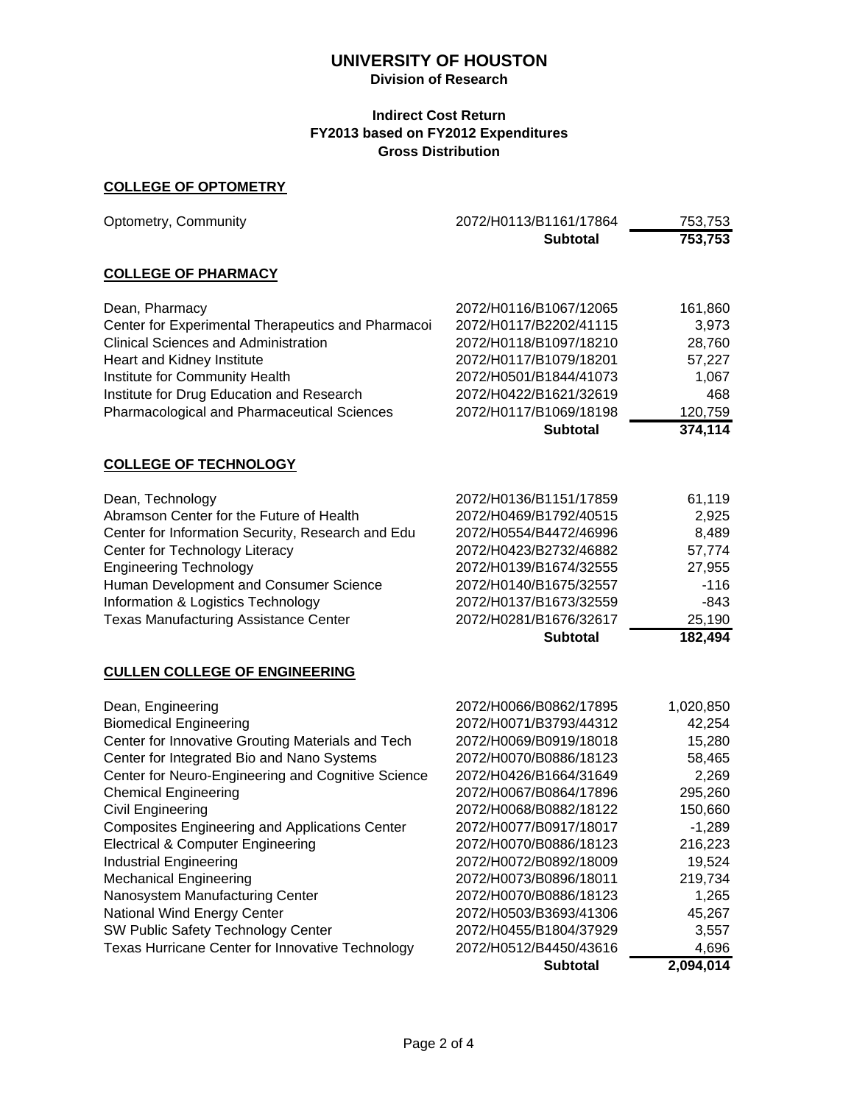#### **Division of Research**

#### **Indirect Cost Return FY2013 based on FY2012 Expenditures Gross Distribution**

#### **COLLEGE OF OPTOMETRY**

| 2072/H0116/B1067/12065                                                                                                                                                                                                                                                                                                                                                                             |                                                                                                                                                                      |
|----------------------------------------------------------------------------------------------------------------------------------------------------------------------------------------------------------------------------------------------------------------------------------------------------------------------------------------------------------------------------------------------------|----------------------------------------------------------------------------------------------------------------------------------------------------------------------|
|                                                                                                                                                                                                                                                                                                                                                                                                    |                                                                                                                                                                      |
| 2072/H0117/B2202/41115<br>2072/H0118/B1097/18210<br>2072/H0117/B1079/18201<br>2072/H0501/B1844/41073<br>2072/H0422/B1621/32619<br>2072/H0117/B1069/18198<br><b>Subtotal</b>                                                                                                                                                                                                                        | 161,860<br>3,973<br>28,760<br>57,227<br>1,067<br>468<br>120,759<br>374,114                                                                                           |
|                                                                                                                                                                                                                                                                                                                                                                                                    |                                                                                                                                                                      |
| 2072/H0136/B1151/17859<br>2072/H0469/B1792/40515<br>2072/H0554/B4472/46996<br>2072/H0423/B2732/46882<br>2072/H0139/B1674/32555<br>2072/H0140/B1675/32557<br>2072/H0137/B1673/32559<br>2072/H0281/B1676/32617<br><b>Subtotal</b>                                                                                                                                                                    | 61,119<br>2,925<br>8,489<br>57,774<br>27,955<br>$-116$<br>$-843$<br>25,190<br>182,494                                                                                |
|                                                                                                                                                                                                                                                                                                                                                                                                    |                                                                                                                                                                      |
| 2072/H0066/B0862/17895<br>2072/H0071/B3793/44312<br>2072/H0069/B0919/18018<br>2072/H0070/B0886/18123<br>2072/H0426/B1664/31649<br>2072/H0067/B0864/17896<br>2072/H0068/B0882/18122<br>2072/H0077/B0917/18017<br>2072/H0070/B0886/18123<br>2072/H0072/B0892/18009<br>2072/H0073/B0896/18011<br>2072/H0070/B0886/18123<br>2072/H0503/B3693/41306<br>2072/H0455/B1804/37929<br>2072/H0512/B4450/43616 | 1,020,850<br>42,254<br>15,280<br>58,465<br>2,269<br>295,260<br>150,660<br>$-1,289$<br>216,223<br>19,524<br>219,734<br>1,265<br>45,267<br>3,557<br>4,696<br>2,094,014 |
|                                                                                                                                                                                                                                                                                                                                                                                                    | <b>Subtotal</b>                                                                                                                                                      |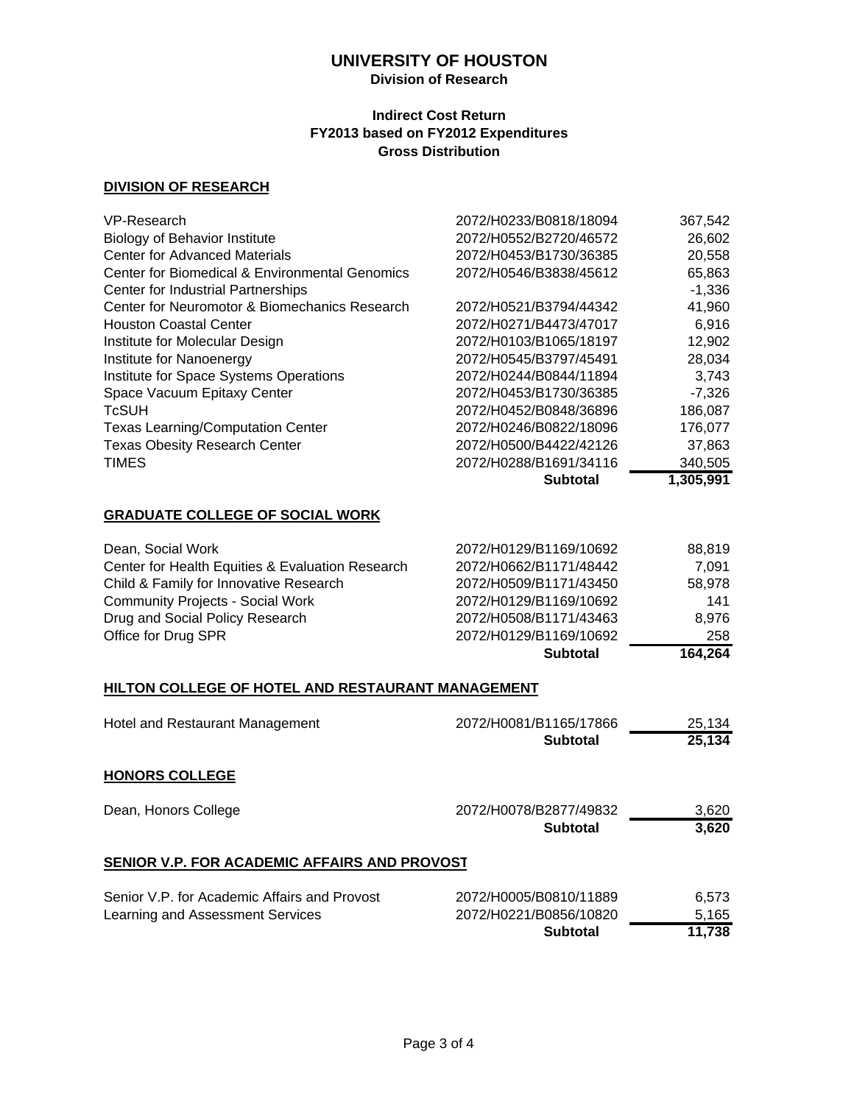### **Division of Research**

#### **Indirect Cost Return FY2013 based on FY2012 Expenditures Gross Distribution**

#### **DIVISION OF RESEARCH**

| VP-Research                                    | 2072/H0233/B0818/18094 | 367,542   |
|------------------------------------------------|------------------------|-----------|
| <b>Biology of Behavior Institute</b>           | 2072/H0552/B2720/46572 | 26,602    |
| <b>Center for Advanced Materials</b>           | 2072/H0453/B1730/36385 | 20,558    |
| Center for Biomedical & Environmental Genomics | 2072/H0546/B3838/45612 | 65,863    |
| Center for Industrial Partnerships             |                        | $-1,336$  |
| Center for Neuromotor & Biomechanics Research  | 2072/H0521/B3794/44342 | 41,960    |
| <b>Houston Coastal Center</b>                  | 2072/H0271/B4473/47017 | 6,916     |
| Institute for Molecular Design                 | 2072/H0103/B1065/18197 | 12,902    |
| Institute for Nanoenergy                       | 2072/H0545/B3797/45491 | 28,034    |
| Institute for Space Systems Operations         | 2072/H0244/B0844/11894 | 3,743     |
| Space Vacuum Epitaxy Center                    | 2072/H0453/B1730/36385 | $-7.326$  |
| <b>TcSUH</b>                                   | 2072/H0452/B0848/36896 | 186,087   |
| <b>Texas Learning/Computation Center</b>       | 2072/H0246/B0822/18096 | 176,077   |
| <b>Texas Obesity Research Center</b>           | 2072/H0500/B4422/42126 | 37,863    |
| <b>TIMES</b>                                   | 2072/H0288/B1691/34116 | 340,505   |
|                                                | <b>Subtotal</b>        | 1,305,991 |

#### **GRADUATE COLLEGE OF SOCIAL WORK**

|                                                  | <b>Subtotal</b>        | 164,264 |
|--------------------------------------------------|------------------------|---------|
| Office for Drug SPR                              | 2072/H0129/B1169/10692 | 258     |
| Drug and Social Policy Research                  | 2072/H0508/B1171/43463 | 8.976   |
| <b>Community Projects - Social Work</b>          | 2072/H0129/B1169/10692 | 141     |
| Child & Family for Innovative Research           | 2072/H0509/B1171/43450 | 58.978  |
| Center for Health Equities & Evaluation Research | 2072/H0662/B1171/48442 | 7.091   |
| Dean, Social Work                                | 2072/H0129/B1169/10692 | 88.819  |

#### **HILTON COLLEGE OF HOTEL AND RESTAURANT MANAGEMENT**

| Hotel and Restaurant Management | 2072/H0081/B1165/17866 | 25,134 |
|---------------------------------|------------------------|--------|
|                                 | <b>Subtotal</b>        | 25.134 |

### **HONORS COLLEGE**

| Dean, Honors College                         | 2072/H0078/B2877/49832 | 3.620 |
|----------------------------------------------|------------------------|-------|
|                                              | Subtotal               | 3.620 |
| SENIOR V.P. FOR ACADEMIC AFFAIRS AND PROVOST |                        |       |
| Sanjor V P for Academic Affairs and Provost  | 2072/H0005/R0810/11880 | R 573 |

|                                              | Subtotal               | 11.738 |
|----------------------------------------------|------------------------|--------|
| Learning and Assessment Services             | 2072/H0221/B0856/10820 | 5.165  |
| Senior V.P. for Academic Affairs and Provost | 2072/H0005/B0810/11889 | 6.573  |